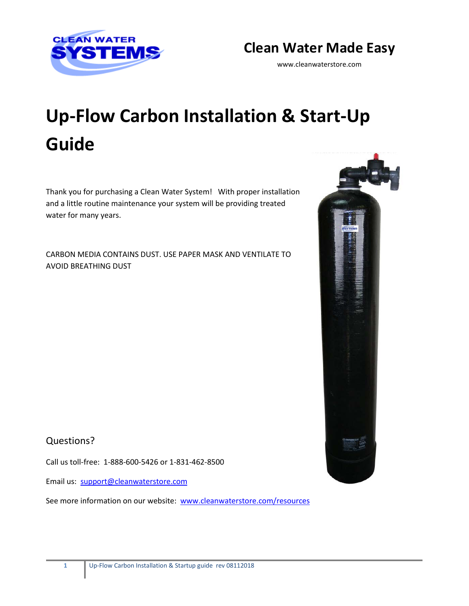

# **Clean Water Made Easy**

www.cleanwaterstore.com

# **Up-Flow Carbon Installation & Start-Up Guide**

Thank you for purchasing a Clean Water System! With proper installation and a little routine maintenance your system will be providing treated water for many years.

CARBON MEDIA CONTAINS DUST. USE PAPER MASK AND VENTILATE TO AVOID BREATHING DUST



## Questions?

Call us toll-free: 1-888-600-5426 or 1-831-462-8500

Email us: [support@cleanwaterstore.com](mailto:support@cleanwaterstore.com)

See more information on our website: [www.cleanwaterstore.com/resources](http://www.cleanwaterstore.com/resources)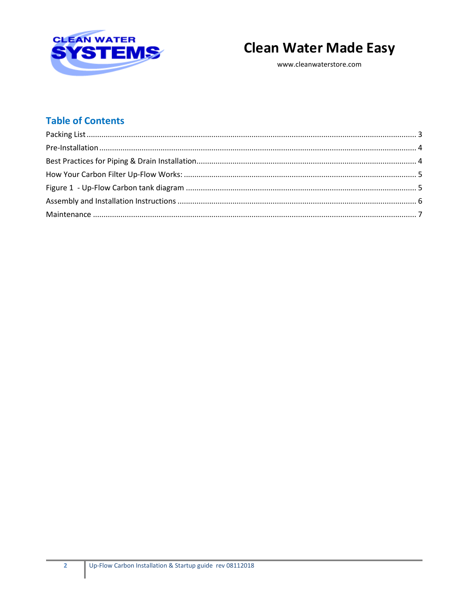



www.cleanwaterstore.com

# **Table of Contents**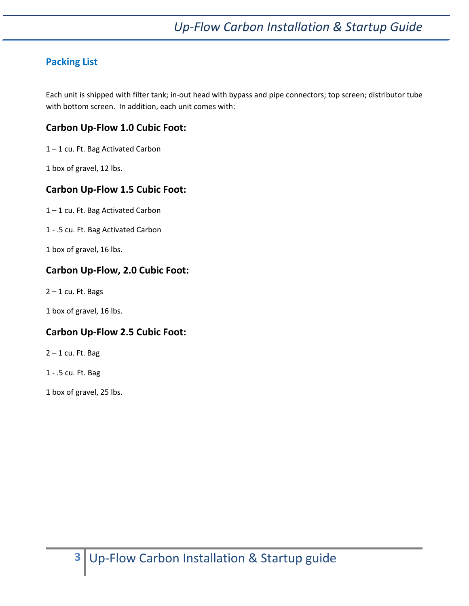## <span id="page-2-0"></span>**Packing List**

Each unit is shipped with filter tank; in-out head with bypass and pipe connectors; top screen; distributor tube with bottom screen. In addition, each unit comes with:

#### **Carbon Up-Flow 1.0 Cubic Foot:**

1 – 1 cu. Ft. Bag Activated Carbon

1 box of gravel, 12 lbs.

#### **Carbon Up-Flow 1.5 Cubic Foot:**

1 – 1 cu. Ft. Bag Activated Carbon

1 - .5 cu. Ft. Bag Activated Carbon

1 box of gravel, 16 lbs.

#### **Carbon Up-Flow, 2.0 Cubic Foot:**

 $2 - 1$  cu. Ft. Bags

1 box of gravel, 16 lbs.

#### **Carbon Up-Flow 2.5 Cubic Foot:**

 $2 - 1$  cu. Ft. Bag

1 - .5 cu. Ft. Bag

1 box of gravel, 25 lbs.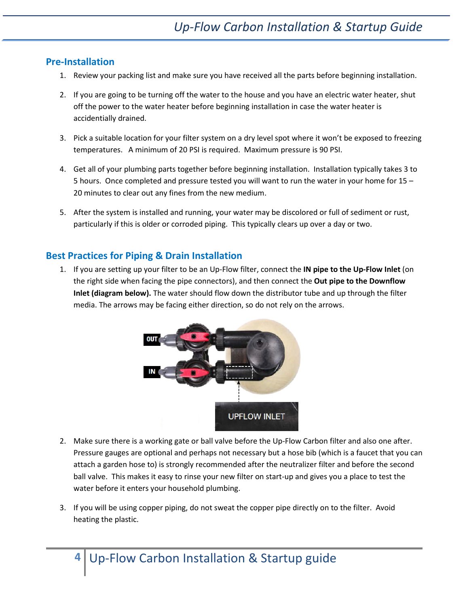#### <span id="page-3-0"></span>**Pre-Installation**

- 1. Review your packing list and make sure you have received all the parts before beginning installation.
- 2. If you are going to be turning off the water to the house and you have an electric water heater, shut off the power to the water heater before beginning installation in case the water heater is accidentially drained.
- 3. Pick a suitable location for your filter system on a dry level spot where it won't be exposed to freezing temperatures. A minimum of 20 PSI is required. Maximum pressure is 90 PSI.
- 4. Get all of your plumbing parts together before beginning installation. Installation typically takes 3 to 5 hours. Once completed and pressure tested you will want to run the water in your home for 15 – 20 minutes to clear out any fines from the new medium.
- 5. After the system is installed and running, your water may be discolored or full of sediment or rust, particularly if this is older or corroded piping. This typically clears up over a day or two.

#### <span id="page-3-1"></span>**Best Practices for Piping & Drain Installation**

1. If you are setting up your filter to be an Up-Flow filter, connect the **IN pipe to the Up-Flow Inlet** (on the right side when facing the pipe connectors), and then connect the **Out pipe to the Downflow Inlet (diagram below).** The water should flow down the distributor tube and up through the filter media. The arrows may be facing either direction, so do not rely on the arrows.



- 2. Make sure there is a working gate or ball valve before the Up-Flow Carbon filter and also one after. Pressure gauges are optional and perhaps not necessary but a hose bib (which is a faucet that you can attach a garden hose to) is strongly recommended after the neutralizer filter and before the second ball valve. This makes it easy to rinse your new filter on start-up and gives you a place to test the water before it enters your household plumbing.
- 3. If you will be using copper piping, do not sweat the copper pipe directly on to the filter. Avoid heating the plastic.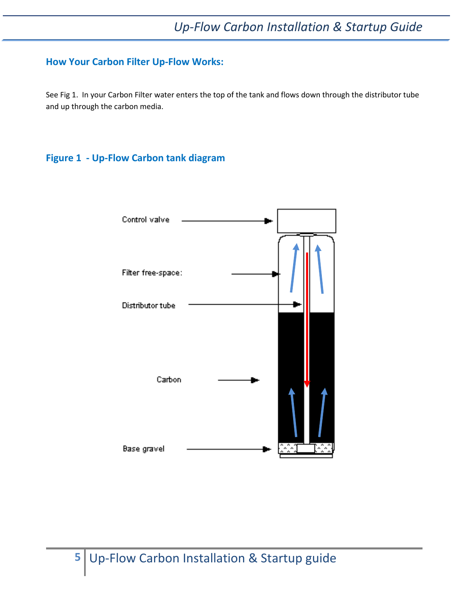#### <span id="page-4-0"></span>**How Your Carbon Filter Up-Flow Works:**

See Fig 1. In your Carbon Filter water enters the top of the tank and flows down through the distributor tube and up through the carbon media.

#### <span id="page-4-1"></span>**Figure 1 - Up-Flow Carbon tank diagram**

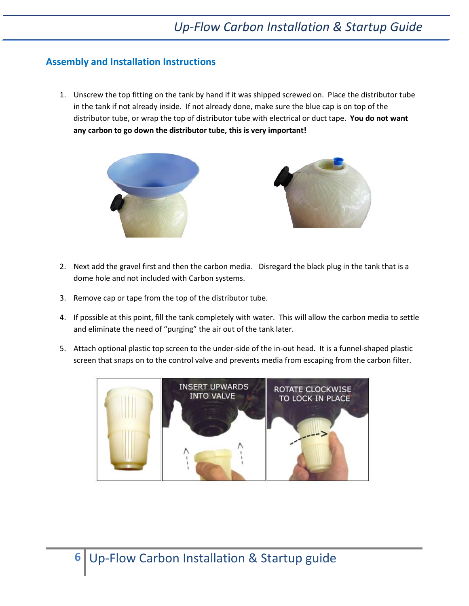#### <span id="page-5-0"></span>**Assembly and Installation Instructions**

1. Unscrew the top fitting on the tank by hand if it was shipped screwed on. Place the distributor tube in the tank if not already inside. If not already done, make sure the blue cap is on top of the distributor tube, or wrap the top of distributor tube with electrical or duct tape. **You do not want any carbon to go down the distributor tube, this is very important!**



- 2. Next add the gravel first and then the carbon media. Disregard the black plug in the tank that is a dome hole and not included with Carbon systems.
- 3. Remove cap or tape from the top of the distributor tube.
- 4. If possible at this point, fill the tank completely with water. This will allow the carbon media to settle and eliminate the need of "purging" the air out of the tank later.
- 5. Attach optional plastic top screen to the under-side of the in-out head. It is a funnel-shaped plastic screen that snaps on to the control valve and prevents media from escaping from the carbon filter.